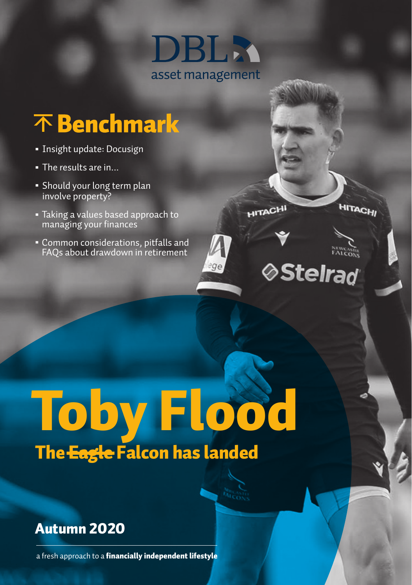

ege

**HITACHI** 

**⊘Stelrad** 

**HITACHI** 

## 不 Benchmark

- Insight update: Docusign
- The results are in...
- Should your long term plan involve property?
- Taking a values based approach to managing your finances
- Common considerations, pitfalls and FAQs about drawdown in retirement



#### Autumn 2020

a fresh approach to a financially independent lifestyle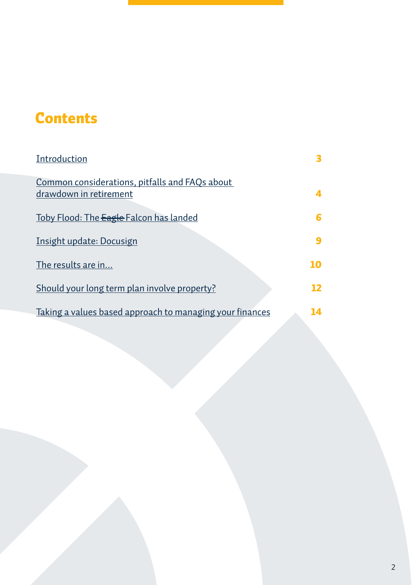### <span id="page-1-0"></span>**Contents**

| Introduction                                                             |    |
|--------------------------------------------------------------------------|----|
| Common considerations, pitfalls and FAQs about<br>drawdown in retirement |    |
| Toby Flood: The Eagle Falcon has landed                                  | 6  |
| Insight update: Docusign                                                 |    |
| The results are in                                                       | 10 |
| <u>Should your long term plan involve property?</u>                      | 12 |
| Taking a values based approach to managing your finances                 | 14 |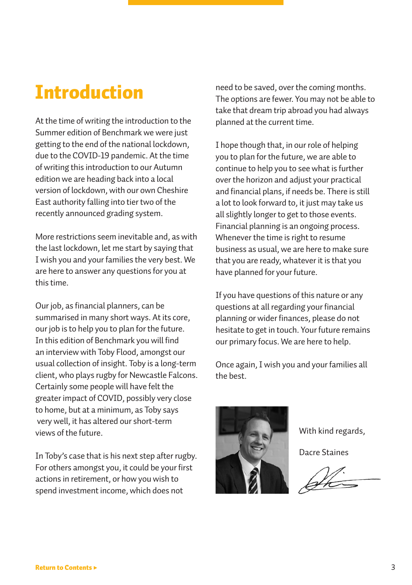### <span id="page-2-0"></span>Introduction

At the time of writing the introduction to the Summer edition of Benchmark we were just getting to the end of the national lockdown, due to the COVID-19 pandemic. At the time of writing this introduction to our Autumn edition we are heading back into a local version of lockdown, with our own Cheshire East authority falling into tier two of the recently announced grading system.

More restrictions seem inevitable and, as with the last lockdown, let me start by saying that I wish you and your families the very best. We are here to answer any questions for you at this time.

Our job, as financial planners, can be summarised in many short ways. At its core, our job is to help you to plan for the future. In this edition of Benchmark you will find an interview with Toby Flood, amongst our usual collection of insight. Toby is a long-term client, who plays rugby for Newcastle Falcons. Certainly some people will have felt the greater impact of COVID, possibly very close to home, but at a minimum, as Toby says very well, it has altered our short-term views of the future.

In Toby's case that is his next step after rugby. For others amongst you, it could be your first actions in retirement, or how you wish to spend investment income, which does not

need to be saved, over the coming months. The options are fewer. You may not be able to take that dream trip abroad you had always planned at the current time.

I hope though that, in our role of helping you to plan for the future, we are able to continue to help you to see what is further over the horizon and adjust your practical and financial plans, if needs be. There is still a lot to look forward to, it just may take us all slightly longer to get to those events. Financial planning is an ongoing process. Whenever the time is right to resume business as usual, we are here to make sure that you are ready, whatever it is that you have planned for your future.

If you have questions of this nature or any questions at all regarding your financial planning or wider finances, please do not hesitate to get in touch. Your future remains our primary focus. We are here to help.

Once again, I wish you and your families all the best.



With kind regards,

Dacre Staines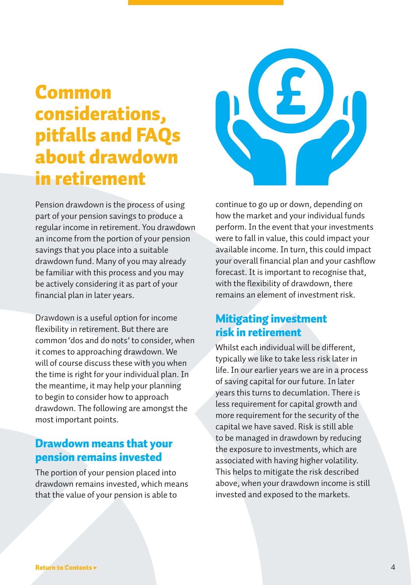## <span id="page-3-0"></span>Common considerations, pitfalls and FAQs about drawdown in retirement



Pension drawdown is the process of using part of your pension savings to produce a regular income in retirement. You drawdown an income from the portion of your pension savings that you place into a suitable drawdown fund. Many of you may already be familiar with this process and you may be actively considering it as part of your financial plan in later years.

Drawdown is a useful option for income flexibility in retirement. But there are common 'dos and do nots' to consider, when it comes to approaching drawdown. We will of course discuss these with you when the time is right for your individual plan. In the meantime, it may help your planning to begin to consider how to approach drawdown. The following are amongst the most important points.

#### Drawdown means that your pension remains invested

The portion of your pension placed into drawdown remains invested, which means that the value of your pension is able to

continue to go up or down, depending on how the market and your individual funds perform. In the event that your investments were to fall in value, this could impact your available income. In turn, this could impact your overall financial plan and your cashflow forecast. It is important to recognise that, with the flexibility of drawdown, there remains an element of investment risk.

#### Mitigating investment risk in retirement

Whilst each individual will be different, typically we like to take less risk later in life. In our earlier years we are in a process of saving capital for our future. In later years this turns to decumlation. There is less requirement for capital growth and more requirement for the security of the capital we have saved. Risk is still able to be managed in drawdown by reducing the exposure to investments, which are associated with having higher volatility. This helps to mitigate the risk described above, when your drawdown income is still invested and exposed to the markets.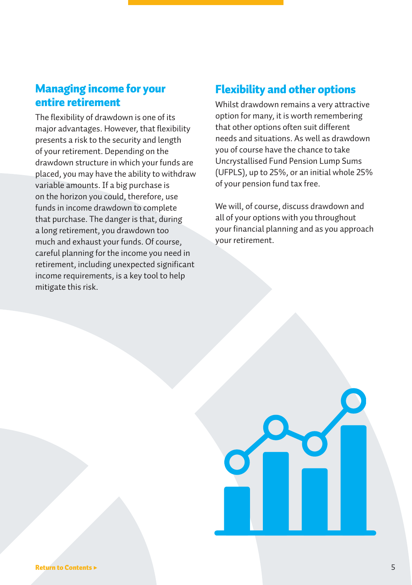#### Managing income for your entire retirement

The flexibility of drawdown is one of its major advantages. However, that flexibility presents a risk to the security and length of your retirement. Depending on the drawdown structure in which your funds are placed, you may have the ability to withdraw variable amounts. If a big purchase is on the horizon you could, therefore, use funds in income drawdown to complete that purchase. The danger is that, during a long retirement, you drawdown too much and exhaust your funds. Of course, careful planning for the income you need in retirement, including unexpected significant income requirements, is a key tool to help mitigate this risk.

#### Flexibility and other options

Whilst drawdown remains a very attractive option for many, it is worth remembering that other options often suit different needs and situations. As well as drawdown you of course have the chance to take Uncrystallised Fund Pension Lump Sums (UFPLS), up to 25%, or an initial whole 25% of your pension fund tax free.

We will, of course, discuss drawdown and all of your options with you throughout your financial planning and as you approach your retirement.

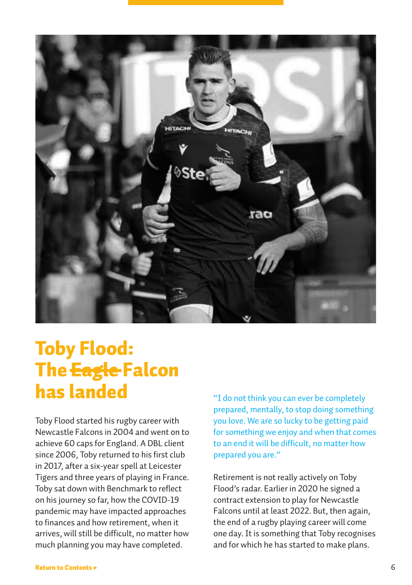<span id="page-5-0"></span>

## Toby Flood: **The <del>Eagle</del> Falcon** has landed

Toby Flood started his rugby career with Newcastle Falcons in 2004 and went on to achieve 60 caps for England. A DBL client since 2006, Toby returned to his first club in 2017, after a six-year spell at Leicester Tigers and three years of playing in France. Toby sat down with Benchmark to reflect on his journey so far, how the COVID-19 pandemic may have impacted approaches to finances and how retirement, when it arrives, will still be difficult, no matter how much planning you may have completed.

"I do not think you can ever be completely prepared, mentally, to stop doing something you love. We are so lucky to be getting paid for something we enjoy and when that comes to an end it will be difficult, no matter how prepared you are."

Retirement is not really actively on Toby Flood's radar. Earlier in 2020 he signed a contract extension to play for Newcastle Falcons until at least 2022. But, then again, the end of a rugby playing career will come one day. It is something that Toby recognises and for which he has started to make plans.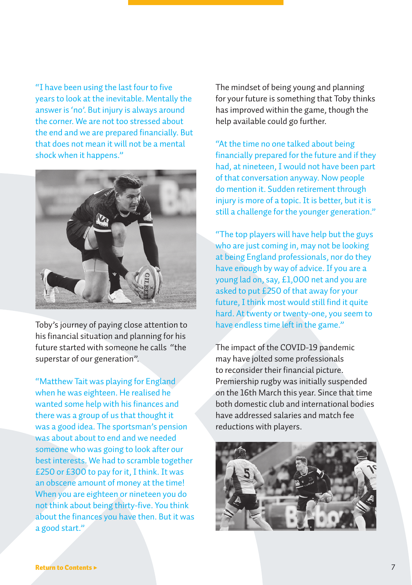"I have been using the last four to five years to look at the inevitable. Mentally the answer is 'no'. But injury is always around the corner. We are not too stressed about the end and we are prepared financially. But that does not mean it will not be a mental shock when it happens."



Toby's journey of paying close attention to his financial situation and planning for his future started with someone he calls "the superstar of our generation".

"Matthew Tait was playing for England when he was eighteen. He realised he wanted some help with his finances and there was a group of us that thought it was a good idea. The sportsman's pension was about about to end and we needed someone who was going to look after our best interests. We had to scramble together £250 or £300 to pay for it, I think. It was an obscene amount of money at the time! When you are eighteen or nineteen you do not think about being thirty-five. You think about the finances you have then. But it was a good start."

The mindset of being young and planning for your future is something that Toby thinks has improved within the game, though the help available could go further.

"At the time no one talked about being financially prepared for the future and if they had, at nineteen, I would not have been part of that conversation anyway. Now people do mention it. Sudden retirement through injury is more of a topic. It is better, but it is still a challenge for the younger generation."

"The top players will have help but the guys who are just coming in, may not be looking at being England professionals, nor do they have enough by way of advice. If you are a young lad on, say, £1,000 net and you are asked to put £250 of that away for your future. I think most would still find it quite hard. At twenty or twenty-one, you seem to have endless time left in the game."

The impact of the COVID-19 pandemic may have jolted some professionals to reconsider their financial picture. Premiership rugby was initially suspended on the 16th March this year. Since that time both domestic club and international bodies have addressed salaries and match fee reductions with players.

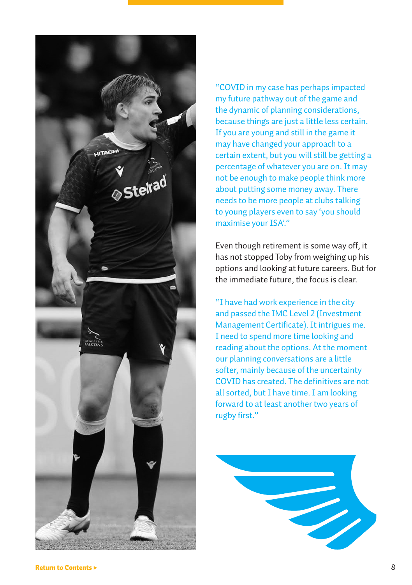

"COVID in my case has perhaps impacted my future pathway out of the game and the dynamic of planning considerations, because things are just a little less certain. If you are young and still in the game it may have changed your approach to a certain extent, but you will still be getting a percentage of whatever you are on. It may not be enough to make people think more about putting some money away. There needs to be more people at clubs talking to young players even to say 'you should maximise your ISA."

Even though retirement is some way off, it has not stopped Toby from weighing up his options and looking at future careers. But for the immediate future, the focus is clear.

"I have had work experience in the city and passed the IMC Level 2 (Investment Management Certificate). It intrigues me. I need to spend more time looking and reading about the options. At the moment our planning conversations are a little softer, mainly because of the uncertainty COVID has created. The definitives are not all sorted, but I have time. I am looking forward to at least another two years of rugby first."

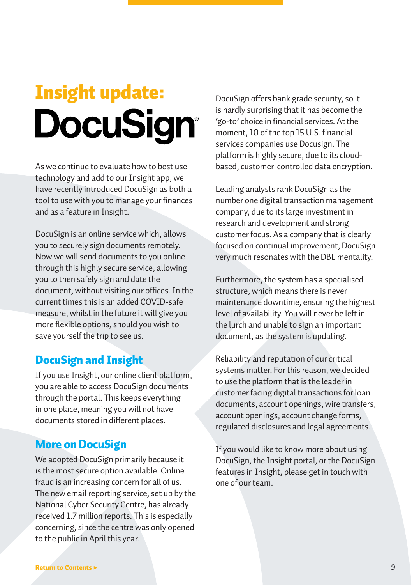# <span id="page-8-0"></span>Insight update: **DocuSign®**

As we continue to evaluate how to best use technology and add to our Insight app, we have recently introduced DocuSign as both a tool to use with you to manage your finances and as a feature in Insight.

DocuSign is an online service which, allows you to securely sign documents remotely. Now we will send documents to you online through this highly secure service, allowing you to then safely sign and date the document, without visiting our offices. In the current times this is an added COVID-safe measure, whilst in the future it will give you more flexible options, should you wish to save yourself the trip to see us.

#### DocuSign and Insight

If you use Insight, our online client platform, you are able to access DocuSign documents through the portal. This keeps everything in one place, meaning you will not have documents stored in different places.

#### More on DocuSign

We adopted DocuSign primarily because it is the most secure option available. Online fraud is an increasing concern for all of us. The new email reporting service, set up by the National Cyber Security Centre, has already received 1.7 million reports. This is especially concerning, since the centre was only opened to the public in April this year.

DocuSign offers bank grade security, so it is hardly surprising that it has become the 'go-to' choice in financial services. At the moment, 10 of the top 15 U.S. financial services companies use Docusign. The platform is highly secure, due to its cloudbased, customer-controlled data encryption.

Leading analysts rank DocuSign as the number one digital transaction management company, due to its large investment in research and development and strong customer focus. As a company that is clearly focused on continual improvement, DocuSign very much resonates with the DBL mentality.

Furthermore, the system has a specialised structure, which means there is never maintenance downtime, ensuring the highest level of availability. You will never be left in the lurch and unable to sign an important document, as the system is updating.

Reliability and reputation of our critical systems matter. For this reason, we decided to use the platform that is the leader in customer facing digital transactions for loan documents, account openings, wire transfers, account openings, account change forms, regulated disclosures and legal agreements.

If you would like to know more about using DocuSign, the Insight portal, or the DocuSign features in Insight, please get in touch with one of our team.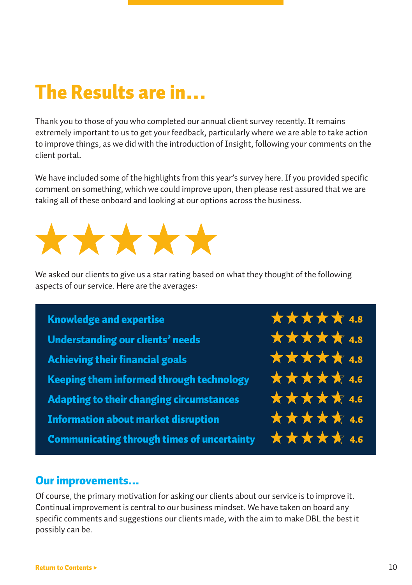## <span id="page-9-0"></span>The Results are in…

Thank you to those of you who completed our annual client survey recently. It remains extremely important to us to get your feedback, particularly where we are able to take action to improve things, as we did with the introduction of Insight, following your comments on the client portal.

We have included some of the highlights from this year's survey here. If you provided specific comment on something, which we could improve upon, then please rest assured that we are taking all of these onboard and looking at our options across the business.



We asked our clients to give us a star rating based on what they thought of the following aspects of our service. Here are the averages:

Knowledge and expertise Understanding our clients' needs Achieving their financial goals Keeping them informed through technology Adapting to their changing circumstances Information about market disruption Communicating through times of uncertainty  $\star \star \star \star \star$ \*\*\*\*\* 4.6 \*\*\*\*\* 4.6 \*\*\*\*\* 4.6 \*\*\*\*\* 4.8 \*\*\*\*\* 4.8 \*\*\*\*\* 4.8

#### Our improvements...

Of course, the primary motivation for asking our clients about our service is to improve it. Continual improvement is central to our business mindset. We have taken on board any specific comments and suggestions our clients made, with the aim to make DBL the best it possibly can be.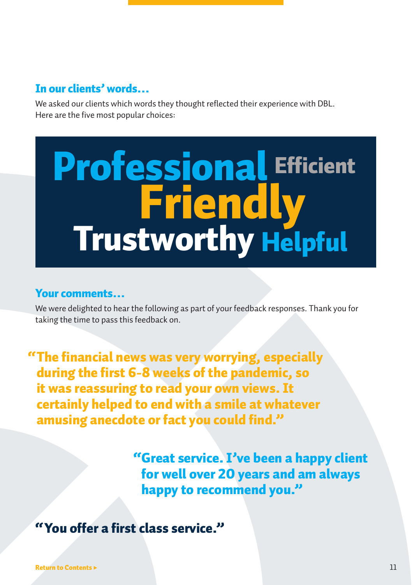#### In our clients' words…

We asked our clients which words they thought reflected their experience with DBL. Here are the five most popular choices:

## Trustworthy Helpful Professional Friendly **Efficient**

#### Your comments…

We were delighted to hear the following as part of your feedback responses. Thank you for taking the time to pass this feedback on.

"The financial news was very worrying, especially during the first 6-8 weeks of the pandemic, so it was reassuring to read your own views. It certainly helped to end with a smile at whatever amusing anecdote or fact you could find."

> "Great service. I've been a happy client for well over 20 years and am always happy to recommend you."

"You offer a first class service."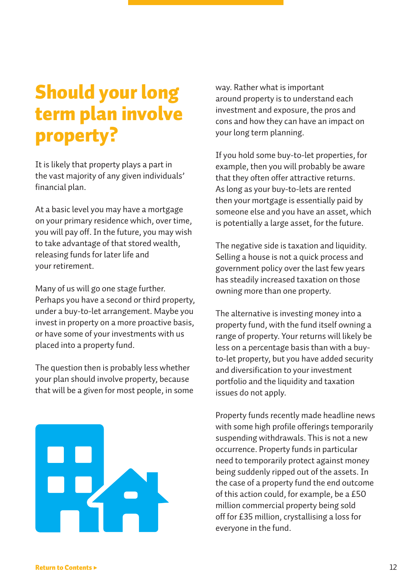## <span id="page-11-0"></span>Should your long term plan involve property?

It is likely that property plays a part in the vast majority of any given individuals' financial plan.

At a basic level you may have a mortgage on your primary residence which, over time, you will pay off. In the future, you may wish to take advantage of that stored wealth, releasing funds for later life and your retirement.

Many of us will go one stage further. Perhaps you have a second or third property, under a buy-to-let arrangement. Maybe you invest in property on a more proactive basis, or have some of your investments with us placed into a property fund.

The question then is probably less whether your plan should involve property, because that will be a given for most people, in some



way. Rather what is important around property is to understand each investment and exposure, the pros and cons and how they can have an impact on your long term planning.

If you hold some buy-to-let properties, for example, then you will probably be aware that they often offer attractive returns. As long as your buy-to-lets are rented then your mortgage is essentially paid by someone else and you have an asset, which is potentially a large asset, for the future.

The negative side is taxation and liquidity. Selling a house is not a quick process and government policy over the last few years has steadily increased taxation on those owning more than one property.

The alternative is investing money into a property fund, with the fund itself owning a range of property. Your returns will likely be less on a percentage basis than with a buyto-let property, but you have added security and diversification to your investment portfolio and the liquidity and taxation issues do not apply.

Property funds recently made headline news with some high profile offerings temporarily suspending withdrawals. This is not a new occurrence. Property funds in particular need to temporarily protect against money being suddenly ripped out of the assets. In the case of a property fund the end outcome of this action could, for example, be a £50 million commercial property being sold off for £35 million, crystallising a loss for everyone in the fund.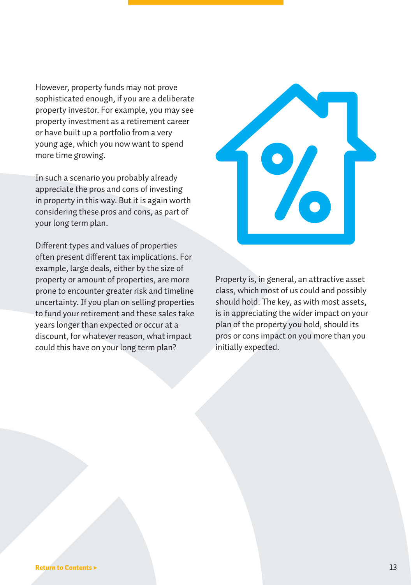However, property funds may not prove sophisticated enough, if you are a deliberate property investor. For example, you may see property investment as a retirement career or have built up a portfolio from a very young age, which you now want to spend more time growing.

In such a scenario you probably already appreciate the pros and cons of investing in property in this way. But it is again worth considering these pros and cons, as part of your long term plan.

Different types and values of properties often present different tax implications. For example, large deals, either by the size of property or amount of properties, are more prone to encounter greater risk and timeline uncertainty. If you plan on selling properties to fund your retirement and these sales take years longer than expected or occur at a discount, for whatever reason, what impact could this have on your long term plan?



Property is, in general, an attractive asset class, which most of us could and possibly should hold. The key, as with most assets, is in appreciating the wider impact on your plan of the property you hold, should its pros or cons impact on you more than you initially expected.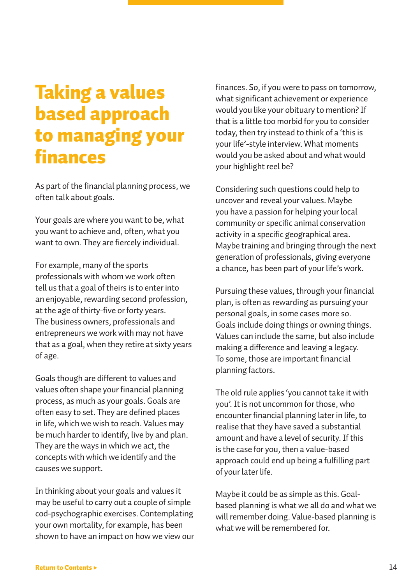## <span id="page-13-0"></span>Taking a values based approach to managing your finances

As part of the financial planning process, we often talk about goals.

Your goals are where you want to be, what you want to achieve and, often, what you want to own. They are fiercely individual.

For example, many of the sports professionals with whom we work often tell us that a goal of theirs is to enter into an enjoyable, rewarding second profession, at the age of thirty-five or forty years. The business owners, professionals and entrepreneurs we work with may not have that as a goal, when they retire at sixty years of age.

Goals though are different to values and values often shape your financial planning process, as much as your goals. Goals are often easy to set. They are defined places in life, which we wish to reach. Values may be much harder to identify, live by and plan. They are the ways in which we act, the concepts with which we identify and the causes we support.

In thinking about your goals and values it may be useful to carry out a couple of simple cod-psychographic exercises. Contemplating your own mortality, for example, has been shown to have an impact on how we view our finances. So, if you were to pass on tomorrow, what significant achievement or experience would you like your obituary to mention? If that is a little too morbid for you to consider today, then try instead to think of a 'this is your life'-style interview. What moments would you be asked about and what would your highlight reel be?

Considering such questions could help to uncover and reveal your values. Maybe you have a passion for helping your local community or specific animal conservation activity in a specific geographical area. Maybe training and bringing through the next generation of professionals, giving everyone a chance, has been part of your life's work.

Pursuing these values, through your financial plan, is often as rewarding as pursuing your personal goals, in some cases more so. Goals include doing things or owning things. Values can include the same, but also include making a difference and leaving a legacy. To some, those are important financial planning factors.

The old rule applies 'you cannot take it with you'. It is not uncommon for those, who encounter financial planning later in life, to realise that they have saved a substantial amount and have a level of security. If this is the case for you, then a value-based approach could end up being a fulfilling part of your later life.

Maybe it could be as simple as this. Goalbased planning is what we all do and what we will remember doing. Value-based planning is what we will be remembered for.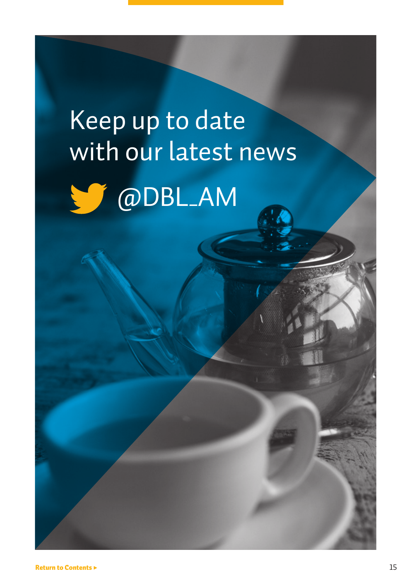# Keep up to date with our latest news @DBL\_AM